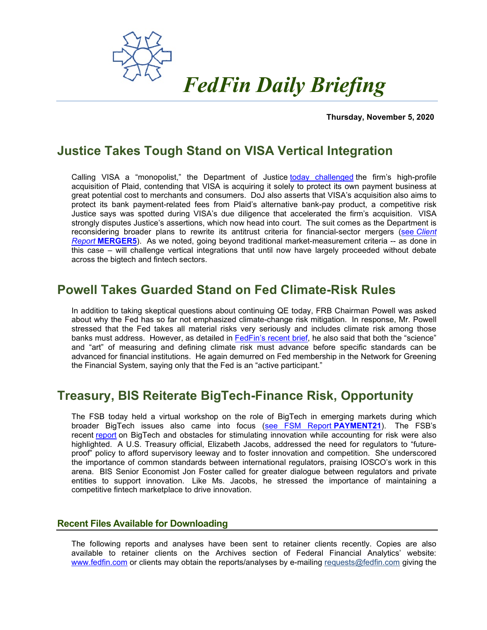

**Thursday, November 5, 2020** 

## **Justice Takes Tough Stand on VISA Vertical Integration**

Calling VISA a "monopolist," the Department of Justice [today challenged](https://www.justice.gov/opa/pr/justice-department-sues-block-visas-proposed-acquisition-plaid) the firm's high-profile acquisition of Plaid, contending that VISA is acquiring it solely to protect its own payment business at great potential cost to merchants and consumers. DoJ also asserts that VISA's acquisition also aims to protect its bank payment-related fees from Plaid's alternative bank-pay product, a competitive risk Justice says was spotted during VISA's due diligence that accelerated the firm's acquisition. VISA strongly disputes Justice's assertions, which now head into court. The suit comes as the Department is reconsidering broader plans to rewrite its antitrust criteria for financial-sector mergers (see *[Client](https://fedfin.com/wp-content/uploads/2020/09/MERGER5.pdf)  Report* **[MERGER5](https://fedfin.com/wp-content/uploads/2020/09/MERGER5.pdf)**). As we noted, going beyond traditional market-measurement criteria -- as done in this case – will challenge vertical integrations that until now have largely proceeded without debate across the bigtech and fintech sectors.

## **Powell Takes Guarded Stand on Fed Climate-Risk Rules**

In addition to taking skeptical questions about continuing QE today, FRB Chairman Powell was asked about why the Fed has so far not emphasized climate-change risk mitigation. In response, Mr. Powell stressed that the Fed takes all material risks very seriously and includes climate risk among those banks must address. However, as detailed in [FedFin's recent brief,](https://fedfin.com/wp-content/uploads/2020/10/FedFin-Issues-Brief-Going-Green-The-Future-of-U.S.-Climate-Risk-Financial-Policy.pdf) he also said that both the "science" and "art" of measuring and defining climate risk must advance before specific standards can be advanced for financial institutions. He again demurred on Fed membership in the Network for Greening the Financial System, saying only that the Fed is an "active participant."

## **Treasury, BIS Reiterate BigTech-Finance Risk, Opportunity**

The FSB today held a virtual workshop on the role of BigTech in emerging markets during which broader BigTech issues also came into focus [\(see FSM Report](https://fedfin.com/wp-content/uploads/2020/10/PAYMENT21.pdf) **PAYMENT21**). The FSB's recent [report](https://www.fsb.org/wp-content/uploads/P121020-1.pdf) on BigTech and obstacles for stimulating innovation while accounting for risk were also highlighted. A U.S. Treasury official, Elizabeth Jacobs, addressed the need for regulators to "futureproof" policy to afford supervisory leeway and to foster innovation and competition. She underscored the importance of common standards between international regulators, praising IOSCO's work in this arena. BIS Senior Economist Jon Foster called for greater dialogue between regulators and private entities to support innovation. Like Ms. Jacobs, he stressed the importance of maintaining a competitive fintech marketplace to drive innovation.

## **Recent Files Available for Downloading**

The following reports and analyses have been sent to retainer clients recently. Copies are also available to retainer clients on the Archives section of Federal Financial Analytics' website: [www.fedfin.com](http://www.fedfin.com/) or clients may obtain the reports/analyses by e-mailing [requests@fedfin.com](mailto:requests@fedfin.com) giving the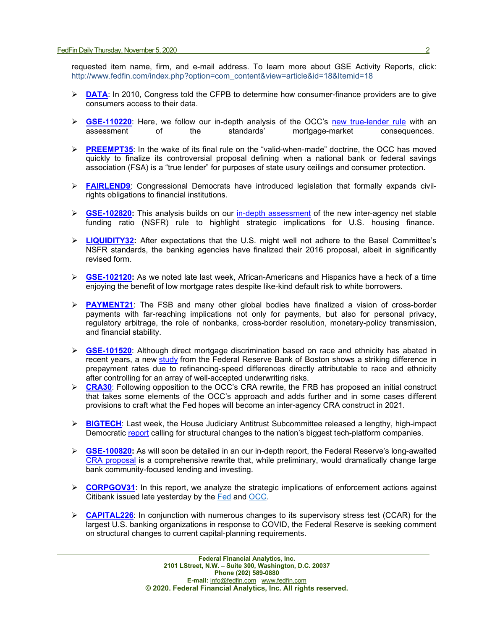requested item name, firm, and e-mail address. To learn more about GSE Activity Reports, click: [http://www.fedfin.com/index.php?option=com\\_content&view=article&id=18&Itemid=18](http://www.fedfin.com/index.php?option=com_content&view=article&id=18&Itemid=18)

- **► [DATA](https://fedfin.com/wp-content/uploads/2020/11/DATA.pdf):** In 2010, Congress told the CFPB to determine how consumer-finance providers are to give consumers access to their data.
- **[GSE-110220](https://fedfin.com/wp-content/uploads/2020/11/GSE-110220.pdf)**: Here, we follow our in-depth analysis of the OCC's [new true-lender rule](https://fedfin.com/wp-content/uploads/2020/11/PREEMPT35.pdf) with an assessment of the standards' mortgage-market consequences. mortgage-market
- **[PREEMPT35](https://fedfin.com/wp-content/uploads/2020/11/PREEMPT35.pdf)**: In the wake of its final rule on the "valid-when-made" doctrine, the OCC has moved quickly to finalize its controversial proposal defining when a national bank or federal savings association (FSA) is a "true lender" for purposes of state usury ceilings and consumer protection.
- **[FAIRLEND9](https://fedfin.com/wp-content/uploads/2020/10/FAIRLEND9.pdf)**: Congressional Democrats have introduced legislation that formally expands civilrights obligations to financial institutions.
- **► [GSE-102820:](https://fedfin.com/wp-content/uploads/2020/10/GSE-102820.pdf)** This analysis builds on our [in-depth assessment](https://fedfin.com/wp-content/uploads/2020/10/LIQUIDITY32.pdf) of the new inter-agency net stable funding ratio (NSFR) rule to highlight strategic implications for U.S. housing finance.
- **[LIQUIDITY32:](https://fedfin.com/wp-content/uploads/2020/10/LIQUIDITY32.pdf)** After expectations that the U.S. might well not adhere to the Basel Committee's NSFR standards, the banking agencies have finalized their 2016 proposal, albeit in significantly revised form.
- **GSE-102120:** As we noted late last week, African-Americans and Hispanics have a heck of a time enjoying the benefit of low mortgage rates despite like-kind default risk to white borrowers.
- **[PAYMENT21](https://fedfin.com/wp-content/uploads/2020/10/PAYMENT21.pdf)**: The FSB and many other global bodies have finalized a vision of cross-border payments with far-reaching implications not only for payments, but also for personal privacy, regulatory arbitrage, the role of nonbanks, cross-border resolution, monetary-policy transmission, and financial stability.
- **[GSE-101520](https://fedfin.com/wp-content/uploads/2020/10/GSE-101520.pdf)**: Although direct mortgage discrimination based on race and ethnicity has abated in recent years, a new [study](https://www.bostonfed.org/-/media/Documents/Workingpapers/PDF/2020/wp2007.pdf) from the Federal Reserve Bank of Boston shows a striking difference in prepayment rates due to refinancing-speed differences directly attributable to race and ethnicity after controlling for an array of well-accepted underwriting risks.
- **ERA30:** Following opposition to the OCC's CRA rewrite, the FRB has proposed an initial construct that takes some elements of the OCC's approach and adds further and in some cases different provisions to craft what the Fed hopes will become an inter-agency CRA construct in 2021.
- **► [BIGTECH](https://fedfin.com/wp-content/uploads/2020/10/BIGTECH.pdf):** Last week, the House Judiciary Antitrust Subcommittee released a lengthy, high-impact Democratic [report](https://judiciary.house.gov/uploadedfiles/competition_in_digital_markets.pdf) calling for structural changes to the nation's biggest tech-platform companies.
- **[GSE-100820:](https://fedfin.com/wp-content/uploads/2020/10/GSE-100920.pdf)** As will soon be detailed in an our in-depth report, the Federal Reserve's long-awaited [CRA proposal](https://www.federalreserve.gov/aboutthefed/boardmeetings/files/cra-fr-notice-20200921.pdf) is a comprehensive rewrite that, while preliminary, would dramatically change large bank community-focused lending and investing.
- **EORPGOV31:** In this report, we analyze the strategic implications of enforcement actions against Citibank issued late yesterday by the [Fed](https://www.federalreserve.gov/newsevents/pressreleases/files/enf20201007a1.pdf) and [OCC.](https://www.occ.gov/static/enforcement-actions/ea2020-056.pdf)
- **► [CAPITAL226](https://fedfin.com/wp-content/uploads/2020/10/CAPITAL226.pdf):** In conjunction with numerous changes to its supervisory stress test (CCAR) for the largest U.S. banking organizations in response to COVID, the Federal Reserve is seeking comment on structural changes to current capital-planning requirements.